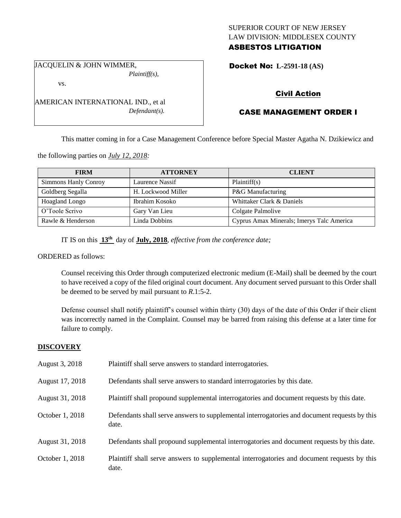## SUPERIOR COURT OF NEW JERSEY LAW DIVISION: MIDDLESEX COUNTY ASBESTOS LITIGATION

JACQUELIN & JOHN WIMMER, *Plaintiff(s),*

vs.

AMERICAN INTERNATIONAL IND., et al *Defendant(s).*

## Docket No: **L-2591-18 (AS)**

## Civil Action

# CASE MANAGEMENT ORDER I

This matter coming in for a Case Management Conference before Special Master Agatha N. Dzikiewicz and

the following parties on *July 12, 2018:*

| <b>FIRM</b>           | <b>ATTORNEY</b>    | <b>CLIENT</b>                             |
|-----------------------|--------------------|-------------------------------------------|
| Simmons Hanly Conroy  | Laurence Nassif    | Plaintiff(s)                              |
| Goldberg Segalla      | H. Lockwood Miller | P&G Manufacturing                         |
| <b>Hoagland Longo</b> | Ibrahim Kosoko     | Whittaker Clark & Daniels                 |
| O'Toole Scrivo        | Gary Van Lieu      | Colgate Palmolive                         |
| Rawle & Henderson     | Linda Dobbins      | Cyprus Amax Minerals; Imerys Talc America |

IT IS on this **13th** day of **July, 2018**, *effective from the conference date;*

ORDERED as follows:

Counsel receiving this Order through computerized electronic medium (E-Mail) shall be deemed by the court to have received a copy of the filed original court document. Any document served pursuant to this Order shall be deemed to be served by mail pursuant to *R*.1:5-2.

Defense counsel shall notify plaintiff's counsel within thirty (30) days of the date of this Order if their client was incorrectly named in the Complaint. Counsel may be barred from raising this defense at a later time for failure to comply.

## **DISCOVERY**

| August 3, 2018  | Plaintiff shall serve answers to standard interrogatories.                                            |
|-----------------|-------------------------------------------------------------------------------------------------------|
| August 17, 2018 | Defendants shall serve answers to standard interrogatories by this date.                              |
| August 31, 2018 | Plaintiff shall propound supplemental interrogatories and document requests by this date.             |
| October 1, 2018 | Defendants shall serve answers to supplemental interrogatories and document requests by this<br>date. |
| August 31, 2018 | Defendants shall propound supplemental interrogatories and document requests by this date.            |
| October 1, 2018 | Plaintiff shall serve answers to supplemental interrogatories and document requests by this<br>date.  |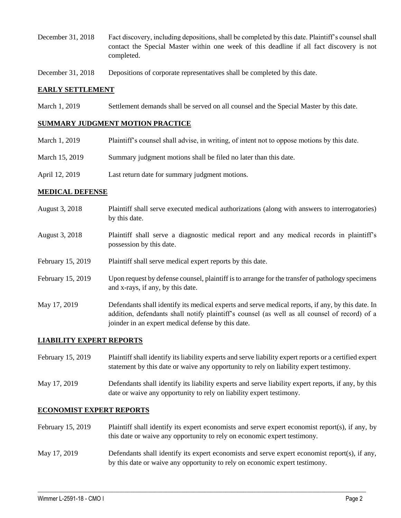- December 31, 2018 Fact discovery, including depositions, shall be completed by this date. Plaintiff's counsel shall contact the Special Master within one week of this deadline if all fact discovery is not completed.
- December 31, 2018 Depositions of corporate representatives shall be completed by this date.

#### **EARLY SETTLEMENT**

March 1, 2019 Settlement demands shall be served on all counsel and the Special Master by this date.

#### **SUMMARY JUDGMENT MOTION PRACTICE**

| March 1, 2019  | Plaintiff's counsel shall advise, in writing, of intent not to oppose motions by this date. |
|----------------|---------------------------------------------------------------------------------------------|
| March 15, 2019 | Summary judgment motions shall be filed no later than this date.                            |
| April 12, 2019 | Last return date for summary judgment motions.                                              |

#### **MEDICAL DEFENSE**

- August 3, 2018 Plaintiff shall serve executed medical authorizations (along with answers to interrogatories) by this date.
- August 3, 2018 Plaintiff shall serve a diagnostic medical report and any medical records in plaintiff's possession by this date.
- February 15, 2019 Plaintiff shall serve medical expert reports by this date.
- February 15, 2019 Upon request by defense counsel, plaintiff is to arrange for the transfer of pathology specimens and x-rays, if any, by this date.
- May 17, 2019 Defendants shall identify its medical experts and serve medical reports, if any, by this date. In addition, defendants shall notify plaintiff's counsel (as well as all counsel of record) of a joinder in an expert medical defense by this date.

#### **LIABILITY EXPERT REPORTS**

February 15, 2019 Plaintiff shall identify its liability experts and serve liability expert reports or a certified expert statement by this date or waive any opportunity to rely on liability expert testimony.

May 17, 2019 Defendants shall identify its liability experts and serve liability expert reports, if any, by this date or waive any opportunity to rely on liability expert testimony.

### **ECONOMIST EXPERT REPORTS**

- February 15, 2019 Plaintiff shall identify its expert economists and serve expert economist report(s), if any, by this date or waive any opportunity to rely on economic expert testimony.
- May 17, 2019 Defendants shall identify its expert economists and serve expert economist report(s), if any, by this date or waive any opportunity to rely on economic expert testimony.

 $\_$  ,  $\_$  ,  $\_$  ,  $\_$  ,  $\_$  ,  $\_$  ,  $\_$  ,  $\_$  ,  $\_$  ,  $\_$  ,  $\_$  ,  $\_$  ,  $\_$  ,  $\_$  ,  $\_$  ,  $\_$  ,  $\_$  ,  $\_$  ,  $\_$  ,  $\_$  ,  $\_$  ,  $\_$  ,  $\_$  ,  $\_$  ,  $\_$  ,  $\_$  ,  $\_$  ,  $\_$  ,  $\_$  ,  $\_$  ,  $\_$  ,  $\_$  ,  $\_$  ,  $\_$  ,  $\_$  ,  $\_$  ,  $\_$  ,